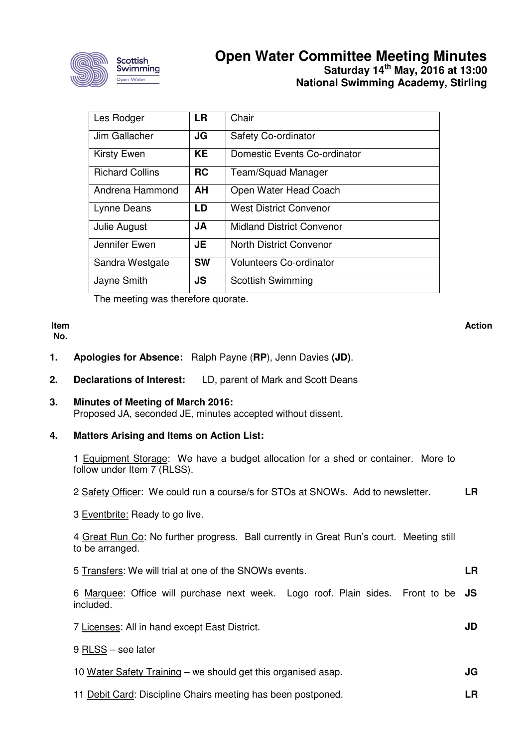

# **Open Water Committee Meeting Minutes Saturday 14th May, 2016 at 13:00 National Swimming Academy, Stirling**

| Les Rodger             | <b>LR</b> | Chair                            |
|------------------------|-----------|----------------------------------|
| Jim Gallacher          | JG        | <b>Safety Co-ordinator</b>       |
| <b>Kirsty Ewen</b>     | KE.       | Domestic Events Co-ordinator     |
| <b>Richard Collins</b> | <b>RC</b> | Team/Squad Manager               |
| Andrena Hammond        | AH        | Open Water Head Coach            |
| Lynne Deans            | LD        | <b>West District Convenor</b>    |
| Julie August           | <b>JA</b> | <b>Midland District Convenor</b> |
| Jennifer Ewen          | <b>JE</b> | <b>North District Convenor</b>   |
| Sandra Westgate        | <b>SW</b> | <b>Volunteers Co-ordinator</b>   |
| Jayne Smith            | JS        | <b>Scottish Swimming</b>         |

The meeting was therefore quorate.

#### **Item No.**

#### **Action**

**JD** 

**LR** 

- **1. Apologies for Absence:** Ralph Payne (**RP**), Jenn Davies **(JD)**.
- **2. Declarations of Interest:** LD, parent of Mark and Scott Deans
- **3. Minutes of Meeting of March 2016:** Proposed JA, seconded JE, minutes accepted without dissent.
- **4. Matters Arising and Items on Action List:**

1 Equipment Storage: We have a budget allocation for a shed or container. More to follow under Item 7 (RLSS).

2 Safety Officer: We could run a course/s for STOs at SNOWs. Add to newsletter. **LR** 

3 Eventbrite: Ready to go live.

4 Great Run Co: No further progress. Ball currently in Great Run's court. Meeting still to be arranged.

| 5 Transfers: We will trial at one of the SNOWs events. |  |
|--------------------------------------------------------|--|
|--------------------------------------------------------|--|

6 Marquee: Office will purchase next week. Logo roof. Plain sides. Front to be **JS**  included.

7 Licenses: All in hand except East District.

- 9 RLSS see later
- 10 Water Safety Training we should get this organised asap. **JG**
- 11 Debit Card: Discipline Chairs meeting has been postponed.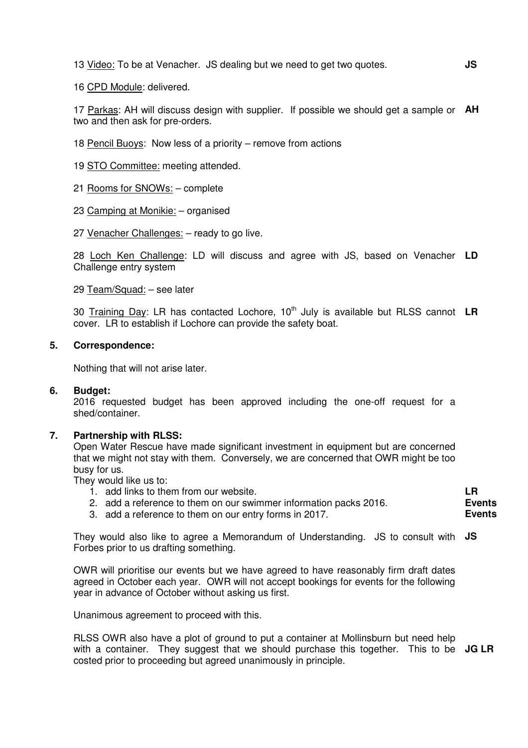13 Video: To be at Venacher. JS dealing but we need to get two quotes.

16 CPD Module: delivered.

17 Parkas: AH will discuss design with supplier. If possible we should get a sample or **AH**  two and then ask for pre-orders.

18 Pencil Buoys: Now less of a priority – remove from actions

19 STO Committee: meeting attended.

21 Rooms for SNOWs: – complete

23 Camping at Monikie: – organised

27 Venacher Challenges: – ready to go live.

28 Loch Ken Challenge: LD will discuss and agree with JS, based on Venacher **LD**  Challenge entry system

29 Team/Squad: – see later

30 Training Day: LR has contacted Lochore, 10<sup>th</sup> July is available but RLSS cannot LR cover. LR to establish if Lochore can provide the safety boat.

#### **5. Correspondence:**

Nothing that will not arise later.

#### **6. Budget:**

2016 requested budget has been approved including the one-off request for a shed/container.

#### **7. Partnership with RLSS:**

Open Water Rescue have made significant investment in equipment but are concerned that we might not stay with them. Conversely, we are concerned that OWR might be too busy for us.

They would like us to:

- 1. add links to them from our website.
- 2. add a reference to them on our swimmer information packs 2016.
- 3. add a reference to them on our entry forms in 2017.

They would also like to agree a Memorandum of Understanding. JS to consult with **JS**  Forbes prior to us drafting something.

OWR will prioritise our events but we have agreed to have reasonably firm draft dates agreed in October each year. OWR will not accept bookings for events for the following year in advance of October without asking us first.

Unanimous agreement to proceed with this.

RLSS OWR also have a plot of ground to put a container at Mollinsburn but need help with a container. They suggest that we should purchase this together. This to be **JG LR** costed prior to proceeding but agreed unanimously in principle.

**LR Events Events**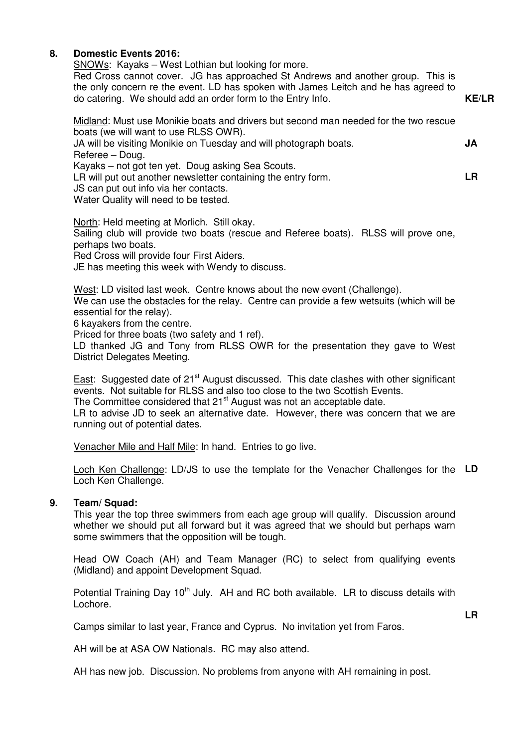#### **8. Domestic Events 2016:**

SNOWs: Kayaks – West Lothian but looking for more.

Red Cross cannot cover. JG has approached St Andrews and another group. This is the only concern re the event. LD has spoken with James Leitch and he has agreed to do catering. We should add an order form to the Entry Info. **KE/LR** 

Midland: Must use Monikie boats and drivers but second man needed for the two rescue boats (we will want to use RLSS OWR).

| JA will be visiting Monikie on Tuesday and will photograph boats. | JA |
|-------------------------------------------------------------------|----|
| Referee – Doug.                                                   |    |
| Kayaks – not got ten yet. Doug asking Sea Scouts.                 |    |
| LR will put out another newsletter containing the entry form.     | LR |
| JS can put out info via her contacts.                             |    |

Water Quality will need to be tested.

North: Held meeting at Morlich. Still okay. Sailing club will provide two boats (rescue and Referee boats). RLSS will prove one, perhaps two boats. Red Cross will provide four First Aiders.

JE has meeting this week with Wendy to discuss.

West: LD visited last week. Centre knows about the new event (Challenge). We can use the obstacles for the relay. Centre can provide a few wetsuits (which will be essential for the relay).

6 kayakers from the centre.

Priced for three boats (two safety and 1 ref).

LD thanked JG and Tony from RLSS OWR for the presentation they gave to West District Delegates Meeting.

East: Suggested date of 21<sup>st</sup> August discussed. This date clashes with other significant events. Not suitable for RLSS and also too close to the two Scottish Events. The Committee considered that 21<sup>st</sup> August was not an acceptable date.

LR to advise JD to seek an alternative date. However, there was concern that we are running out of potential dates.

Venacher Mile and Half Mile: In hand. Entries to go live.

Loch Ken Challenge: LD/JS to use the template for the Venacher Challenges for the **LD**  Loch Ken Challenge.

### **9. Team/ Squad:**

This year the top three swimmers from each age group will qualify. Discussion around whether we should put all forward but it was agreed that we should but perhaps warn some swimmers that the opposition will be tough.

Head OW Coach (AH) and Team Manager (RC) to select from qualifying events (Midland) and appoint Development Squad.

Potential Training Day  $10<sup>th</sup>$  July. AH and RC both available. LR to discuss details with Lochore.

**LR** 

Camps similar to last year, France and Cyprus. No invitation yet from Faros.

AH will be at ASA OW Nationals. RC may also attend.

AH has new job. Discussion. No problems from anyone with AH remaining in post.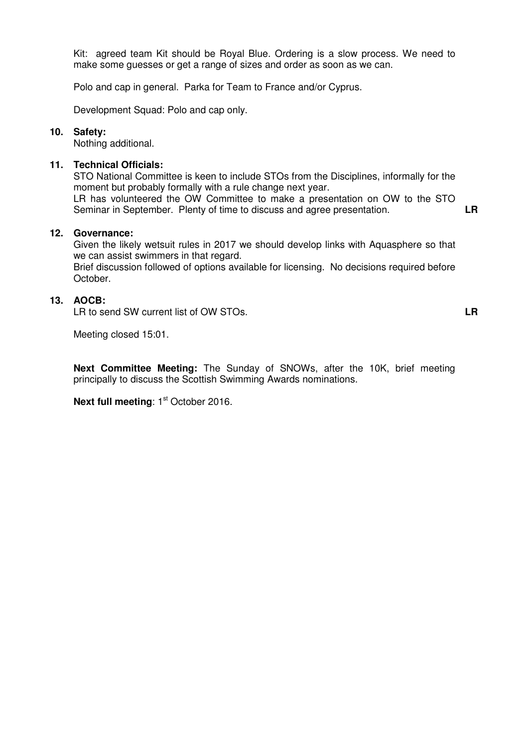Kit: agreed team Kit should be Royal Blue. Ordering is a slow process. We need to make some guesses or get a range of sizes and order as soon as we can.

Polo and cap in general. Parka for Team to France and/or Cyprus.

Development Squad: Polo and cap only.

#### **10. Safety:**

Nothing additional.

#### **11. Technical Officials:**

STO National Committee is keen to include STOs from the Disciplines, informally for the moment but probably formally with a rule change next year.

LR has volunteered the OW Committee to make a presentation on OW to the STO Seminar in September. Plenty of time to discuss and agree presentation. **LR** 

**12. Governance:**

Given the likely wetsuit rules in 2017 we should develop links with Aquasphere so that we can assist swimmers in that regard.

Brief discussion followed of options available for licensing. No decisions required before October.

#### **13. AOCB:**

LR to send SW current list of OW STOs.

**LR** 

Meeting closed 15:01.

**Next Committee Meeting:** The Sunday of SNOWs, after the 10K, brief meeting principally to discuss the Scottish Swimming Awards nominations.

**Next full meeting: 1st October 2016.**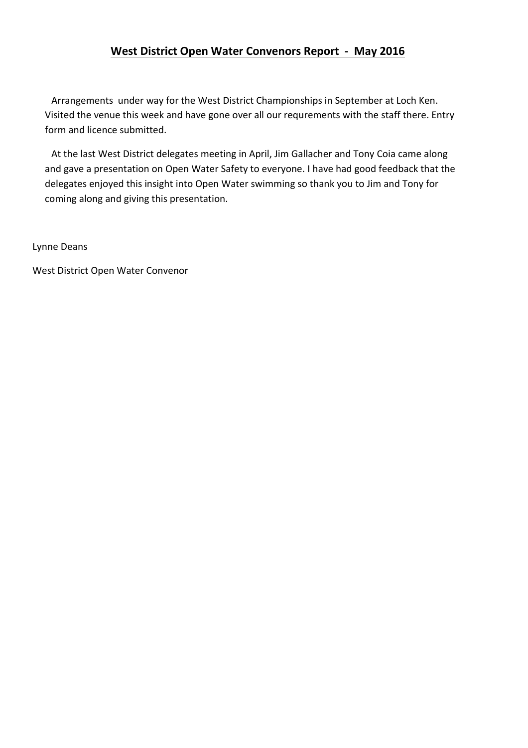# West District Open Water Convenors Report - May 2016

Arrangements under way for the West District Championships in September at Loch Ken. Visited the venue this week and have gone over all our requrements with the staff there. Entry form and licence submitted.

At the last West District delegates meeting in April, Jim Gallacher and Tony Coia came along and gave a presentation on Open Water Safety to everyone. I have had good feedback that the delegates enjoyed this insight into Open Water swimming so thank you to Jim and Tony for coming along and giving this presentation.

Lynne Deans

West District Open Water Convenor